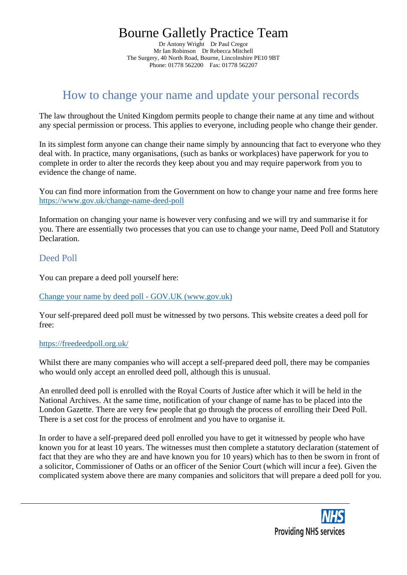# Bourne Galletly Practice Team

Dr Antony Wright Dr Paul Cregor Mr Ian Robinson Dr Rebecca Mitchell The Surgery, 40 North Road, Bourne, Lincolnshire PE10 9BT Phone: 01778 562200 Fax: 01778 562207

## How to change your name and update your personal records

The law throughout the United Kingdom permits people to change their name at any time and without any special permission or process. This applies to everyone, including people who change their gender.

In its simplest form anyone can change their name simply by announcing that fact to everyone who they deal with. In practice, many organisations, (such as banks or workplaces) have paperwork for you to complete in order to alter the records they keep about you and may require paperwork from you to evidence the change of name.

You can find more information from the Government on how to change your name and free forms here <https://www.gov.uk/change-name-deed-poll>

Information on changing your name is however very confusing and we will try and summarise it for you. There are essentially two processes that you can use to change your name, Deed Poll and Statutory Declaration.

### Deed Poll

You can prepare a deed poll yourself here:

Change your name by deed poll - GOV.UK (www.gov.uk)

Your self-prepared deed poll must be witnessed by two persons. This website creates a deed poll for free:

#### <https://freedeedpoll.org.uk/>

Whilst there are many companies who will accept a self-prepared deed poll, there may be companies who would only accept an enrolled deed poll, although this is unusual.

An enrolled deed poll is enrolled with the Royal Courts of Justice after which it will be held in the National Archives. At the same time, notification of your change of name has to be placed into the London Gazette. There are very few people that go through the process of enrolling their Deed Poll. There is a set cost for the process of enrolment and you have to organise it.

In order to have a self-prepared deed poll enrolled you have to get it witnessed by people who have known you for at least 10 years. The witnesses must then complete a statutory declaration (statement of fact that they are who they are and have known you for 10 years) which has to then be sworn in front of a solicitor, Commissioner of Oaths or an officer of the Senior Court (which will incur a fee). Given the complicated system above there are many companies and solicitors that will prepare a deed poll for you.

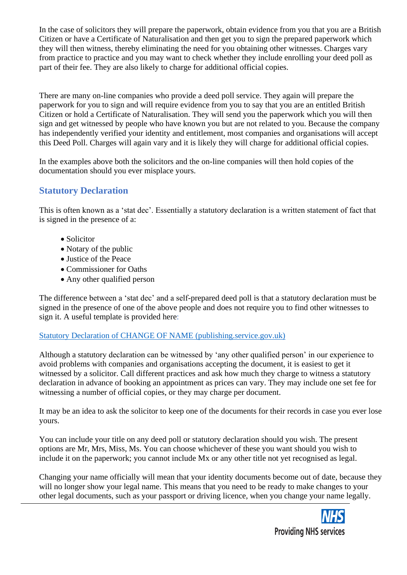In the case of solicitors they will prepare the paperwork, obtain evidence from you that you are a British Citizen or have a Certificate of Naturalisation and then get you to sign the prepared paperwork which they will then witness, thereby eliminating the need for you obtaining other witnesses. Charges vary from practice to practice and you may want to check whether they include enrolling your deed poll as part of their fee. They are also likely to charge for additional official copies.

There are many on-line companies who provide a deed poll service. They again will prepare the paperwork for you to sign and will require evidence from you to say that you are an entitled British Citizen or hold a Certificate of Naturalisation. They will send you the paperwork which you will then sign and get witnessed by people who have known you but are not related to you. Because the company has independently verified your identity and entitlement, most companies and organisations will accept this Deed Poll. Charges will again vary and it is likely they will charge for additional official copies.

In the examples above both the solicitors and the on-line companies will then hold copies of the documentation should you ever misplace yours.

### **Statutory Declaration**

This is often known as a 'stat dec'. Essentially a statutory declaration is a written statement of fact that is signed in the presence of a:

- Solicitor
- Notary of the public
- Justice of the Peace
- Commissioner for Oaths
- Any other qualified person

The difference between a 'stat dec' and a self-prepared deed poll is that a statutory declaration must be signed in the presence of one of the above people and does not require you to find other witnesses to sign it. A useful template is provided here:

#### [Statutory Declaration of CHANGE OF NAME \(publishing.service.gov.uk\)](https://assets.publishing.service.gov.uk/government/uploads/system/uploads/attachment_data/file/118854/19049-statutory-declaration.pdf)

Although a statutory declaration can be witnessed by 'any other qualified person' in our experience to avoid problems with companies and organisations accepting the document, it is easiest to get it witnessed by a solicitor. Call different practices and ask how much they charge to witness a statutory declaration in advance of booking an appointment as prices can vary. They may include one set fee for witnessing a number of official copies, or they may charge per document.

It may be an idea to ask the solicitor to keep one of the documents for their records in case you ever lose yours.

You can include your title on any deed poll or statutory declaration should you wish. The present options are Mr, Mrs, Miss, Ms. You can choose whichever of these you want should you wish to include it on the paperwork; you cannot include Mx or any other title not yet recognised as legal.

Changing your name officially will mean that your identity documents become out of date, because they will no longer show your legal name. This means that you need to be ready to make changes to your other legal documents, such as your passport or driving licence, when you change your name legally.

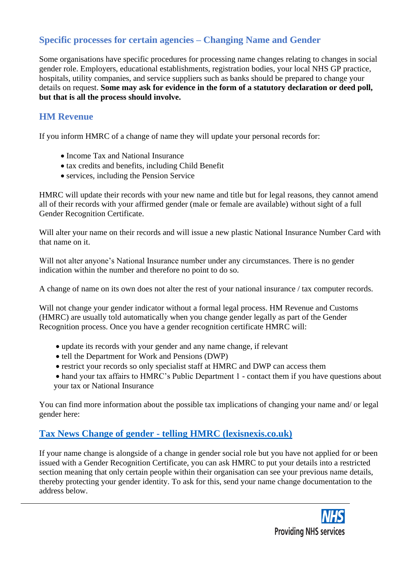### **Specific processes for certain agencies – Changing Name and Gender**

Some organisations have specific procedures for processing name changes relating to changes in social gender role. Employers, educational establishments, registration bodies, your local NHS GP practice, hospitals, utility companies, and service suppliers such as banks should be prepared to change your details on request. **Some may ask for evidence in the form of a statutory declaration or deed poll, but that is all the process should involve.**

### **HM Revenue**

If you inform HMRC of a change of name they will update your personal records for:

- Income Tax and National Insurance
- tax credits and benefits, including Child Benefit
- services, including the Pension Service

HMRC will update their records with your new name and title but for legal reasons, they cannot amend all of their records with your affirmed gender (male or female are available) without sight of a full Gender Recognition Certificate.

Will alter your name on their records and will issue a new plastic National Insurance Number Card with that name on it.

Will not alter anyone's National Insurance number under any circumstances. There is no gender indication within the number and therefore no point to do so.

A change of name on its own does not alter the rest of your national insurance / tax computer records.

Will not change your gender indicator without a formal legal process. HM Revenue and Customs (HMRC) are usually told automatically when you change gender legally as part of the Gender Recognition process. Once you have a gender recognition certificate HMRC will:

- update its records with your gender and any name change, if relevant
- tell the Department for Work and Pensions (DWP)
- restrict your records so only specialist staff at HMRC and DWP can access them
- hand your tax affairs to HMRC's Public Department 1 contact them if you have questions about your tax or National Insurance

You can find more information about the possible tax implications of changing your name and/ or legal gender here:

### **Tax News Change of gender - [telling HMRC \(lexisnexis.co.uk\)](http://taxnews.lexisnexis.co.uk/TaxNewsLive/Members/BreakingNewsFullText.aspx?id=5169&css=1&xml=0)**

If your name change is alongside of a change in gender social role but you have not applied for or been issued with a Gender Recognition Certificate, you can ask HMRC to put your details into a restricted section meaning that only certain people within their organisation can see your previous name details, thereby protecting your gender identity. To ask for this, send your name change documentation to the address below.

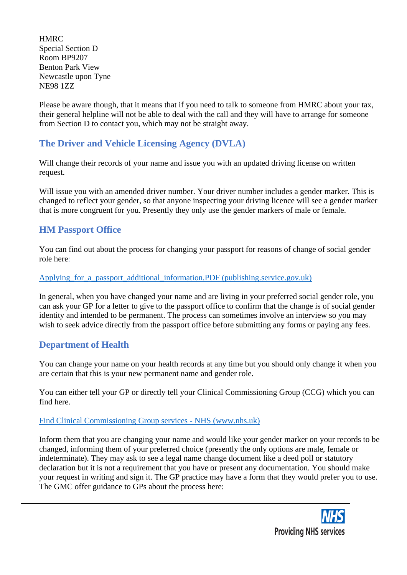**HMRC** Special Section D Room BP9207 Benton Park View Newcastle upon Tyne NE98 1ZZ

Please be aware though, that it means that if you need to talk to someone from HMRC about your tax, their general helpline will not be able to deal with the call and they will have to arrange for someone from Section D to contact you, which may not be straight away.

### **The Driver and Vehicle Licensing Agency (DVLA)**

Will change their records of your name and issue you with an updated driving license on written request.

Will issue you with an amended driver number. Your driver number includes a gender marker. This is changed to reflect your gender, so that anyone inspecting your driving licence will see a gender marker that is more congruent for you. Presently they only use the gender markers of male or female.

### **HM Passport Office**

You can find out about the process for changing your passport for reasons of change of social gender role here:

#### [Applying\\_for\\_a\\_passport\\_additional\\_information.PDF \(publishing.service.gov.uk\)](https://assets.publishing.service.gov.uk/government/uploads/system/uploads/attachment_data/file/251703/Applying_for_a_passport_additional_information.PDF)

In general, when you have changed your name and are living in your preferred social gender role, you can ask your GP for a letter to give to the passport office to confirm that the change is of social gender identity and intended to be permanent. The process can sometimes involve an interview so you may wish to seek advice directly from the passport office before submitting any forms or paying any fees.

### **Department of Health**

You can change your name on your health records at any time but you should only change it when you are certain that this is your new permanent name and gender role.

You can either tell your GP or directly tell your Clinical Commissioning Group (CCG) which you can find here.

#### [Find Clinical Commissioning Group services -](https://www.nhs.uk/service-search/other-services/Clinical-Commissioning-Group/LocationSearch/1) NHS (www.nhs.uk)

Inform them that you are changing your name and would like your gender marker on your records to be changed, informing them of your preferred choice (presently the only options are male, female or indeterminate). They may ask to see a legal name change document like a deed poll or statutory declaration but it is not a requirement that you have or present any documentation. You should make your request in writing and sign it. The GP practice may have a form that they would prefer you to use. The GMC offer guidance to GPs about the process here: